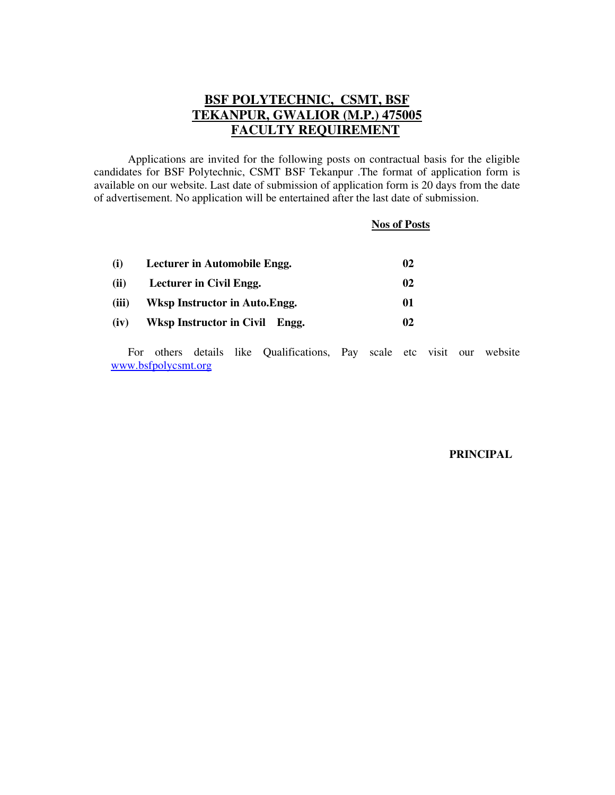# **BSF POLYTECHNIC, CSMT, BSF TEKANPUR, GWALIOR (M.P.) 475005 FACULTY REQUIREMENT**

 Applications are invited for the following posts on contractual basis for the eligible candidates for BSF Polytechnic, CSMT BSF Tekanpur .The format of application form is available on our website. Last date of submission of application form is 20 days from the date of advertisement. No application will be entertained after the last date of submission.

#### **Nos of Posts**

| (i)   | Lecturer in Automobile Engg.   |    |  |
|-------|--------------------------------|----|--|
| (ii)  | Lecturer in Civil Engg.        | 02 |  |
| (iii) | Wksp Instructor in Auto. Engg. | 01 |  |
| (iv)  | Wksp Instructor in Civil Engg. | 02 |  |

For others details like Qualifications, Pay scale etc visit our website www.bsfpolycsmt.org

#### **PRINCIPAL**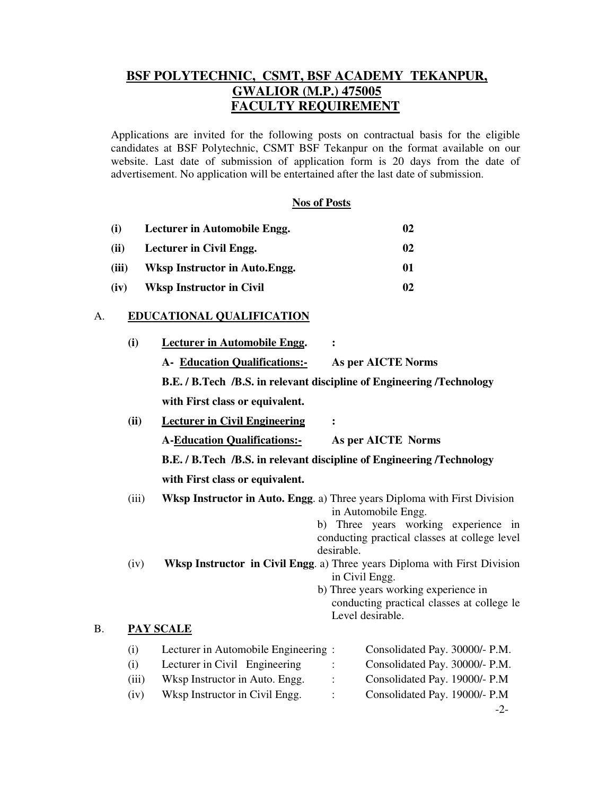# **BSF POLYTECHNIC, CSMT, BSF ACADEMY TEKANPUR, GWALIOR (M.P.) 475005 FACULTY REQUIREMENT**

Applications are invited for the following posts on contractual basis for the eligible candidates at BSF Polytechnic, CSMT BSF Tekanpur on the format available on our website. Last date of submission of application form is 20 days from the date of advertisement. No application will be entertained after the last date of submission.

## **Nos of Posts**

| (i)   | Lecturer in Automobile Engg.   |    |
|-------|--------------------------------|----|
| (ii)  | Lecturer in Civil Engg.        | 02 |
| (iii) | Wksp Instructor in Auto. Engg. | 01 |
| (iv)  | Wksp Instructor in Civil       | 02 |

### A. **EDUCATIONAL QUALIFICATION**

**B**.

|                                 | (i)                                                                   | <b>Lecturer in Automobile Engg.</b>                                                                                                      |  |                |                                                                                                                                                                                                                                                     |  |
|---------------------------------|-----------------------------------------------------------------------|------------------------------------------------------------------------------------------------------------------------------------------|--|----------------|-----------------------------------------------------------------------------------------------------------------------------------------------------------------------------------------------------------------------------------------------------|--|
|                                 |                                                                       | A- Education Qualifications:-                                                                                                            |  |                | As per AICTE Norms                                                                                                                                                                                                                                  |  |
|                                 |                                                                       | B.E. / B.Tech /B.S. in relevant discipline of Engineering /Technology                                                                    |  |                |                                                                                                                                                                                                                                                     |  |
|                                 |                                                                       | with First class or equivalent.                                                                                                          |  |                |                                                                                                                                                                                                                                                     |  |
|                                 | (ii)                                                                  | <b>Lecturer in Civil Engineering</b>                                                                                                     |  | :              |                                                                                                                                                                                                                                                     |  |
|                                 |                                                                       | <b>A-Education Qualifications:-</b>                                                                                                      |  |                | As per AICTE Norms                                                                                                                                                                                                                                  |  |
|                                 | B.E. / B.Tech /B.S. in relevant discipline of Engineering /Technology |                                                                                                                                          |  |                |                                                                                                                                                                                                                                                     |  |
| with First class or equivalent. |                                                                       |                                                                                                                                          |  |                |                                                                                                                                                                                                                                                     |  |
|                                 | (iii)<br>(iv)                                                         | <b>Wksp Instructor in Auto. Engg. a)</b> Three years Diploma with First Division                                                         |  | desirable.     | in Automobile Engg.<br>b) Three years working experience in<br>conducting practical classes at college level<br>Wksp Instructor in Civil Engg. a) Three years Diploma with First Division<br>in Civil Engg.<br>b) Three years working experience in |  |
|                                 |                                                                       |                                                                                                                                          |  |                | conducting practical classes at college le<br>Level desirable.                                                                                                                                                                                      |  |
| Β.                              |                                                                       | <b>PAY SCALE</b>                                                                                                                         |  |                |                                                                                                                                                                                                                                                     |  |
|                                 | (i)<br>(i)<br>(iii)<br>(iv)                                           | Lecturer in Automobile Engineering:<br>Lecturer in Civil Engineering<br>Wksp Instructor in Auto. Engg.<br>Wksp Instructor in Civil Engg. |  | $\ddot{\cdot}$ | Consolidated Pay. 30000/- P.M.<br>Consolidated Pay. 30000/- P.M.<br>Consolidated Pay. 19000/- P.M<br>Consolidated Pay. 19000/- P.M                                                                                                                  |  |
|                                 |                                                                       |                                                                                                                                          |  |                | $-2-$                                                                                                                                                                                                                                               |  |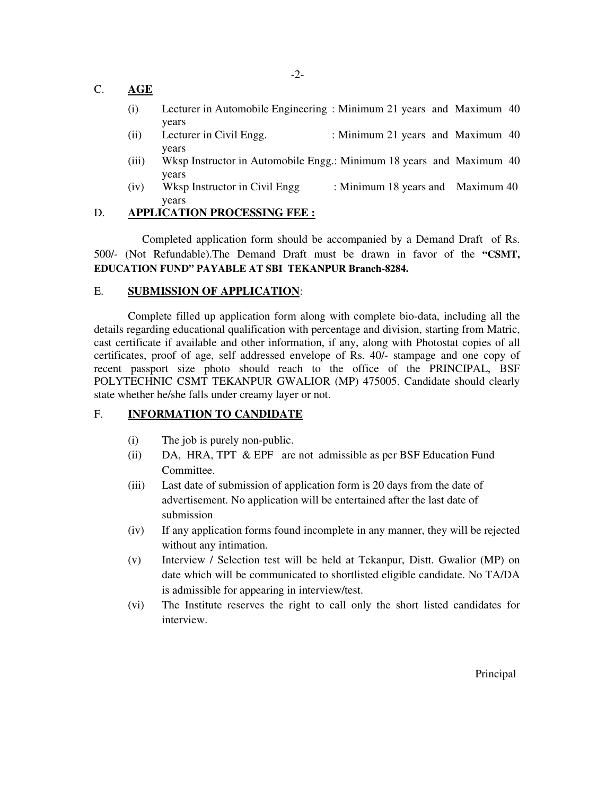## C. **AGE**

- (i) Lecturer in Automobile Engineering : Minimum 21 years and Maximum 40 years
- (ii) Lecturer in Civil Engg. : Minimum 21 years and Maximum 40 years
- (iii) Wksp Instructor in Automobile Engg.: Minimum 18 years and Maximum 40 years
- (iv) Wksp Instructor in Civil Engg : Minimum 18 years and Maximum 40 years

## D. **APPLICATION PROCESSING FEE :**

 Completed application form should be accompanied by a Demand Draft of Rs. 500/- (Not Refundable).The Demand Draft must be drawn in favor of the **"CSMT, EDUCATION FUND" PAYABLE AT SBI TEKANPUR Branch-8284.** 

## E. **SUBMISSION OF APPLICATION**:

 Complete filled up application form along with complete bio-data, including all the details regarding educational qualification with percentage and division, starting from Matric, cast certificate if available and other information, if any, along with Photostat copies of all certificates, proof of age, self addressed envelope of Rs. 40/- stampage and one copy of recent passport size photo should reach to the office of the PRINCIPAL, BSF POLYTECHNIC CSMT TEKANPUR GWALIOR (MP) 475005. Candidate should clearly state whether he/she falls under creamy layer or not.

## F. **INFORMATION TO CANDIDATE**

- (i) The job is purely non-public.
- (ii) DA, HRA, TPT & EPF are not admissible as per BSF Education Fund Committee.
- (iii) Last date of submission of application form is 20 days from the date of advertisement. No application will be entertained after the last date of submission
- (iv) If any application forms found incomplete in any manner, they will be rejected without any intimation.
- (v) Interview / Selection test will be held at Tekanpur, Distt. Gwalior (MP) on date which will be communicated to shortlisted eligible candidate. No TA/DA is admissible for appearing in interview/test.
- (vi) The Institute reserves the right to call only the short listed candidates for interview.

Principal